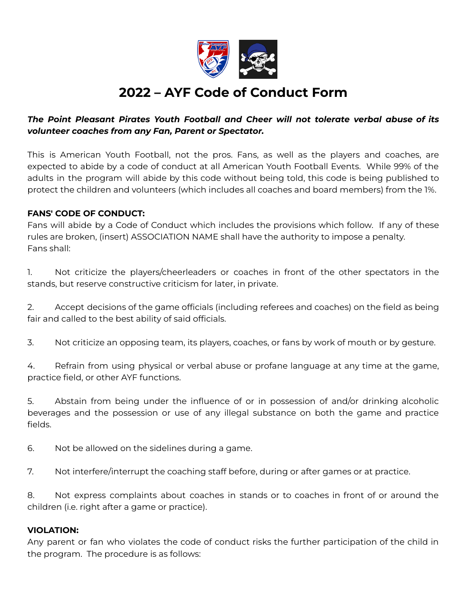

# **2022 – AYF Code of Conduct Form**

## *The Point Pleasant Pirates Youth Football and Cheer will not tolerate verbal abuse of its volunteer coaches from any Fan, Parent or Spectator.*

This is American Youth Football, not the pros. Fans, as well as the players and coaches, are expected to abide by a code of conduct at all American Youth Football Events. While 99% of the adults in the program will abide by this code without being told, this code is being published to protect the children and volunteers (which includes all coaches and board members) from the 1%.

### **FANS' CODE OF CONDUCT:**

Fans will abide by a Code of Conduct which includes the provisions which follow. If any of these rules are broken, (insert) ASSOCIATION NAME shall have the authority to impose a penalty. Fans shall:

1. Not criticize the players/cheerleaders or coaches in front of the other spectators in the stands, but reserve constructive criticism for later, in private.

2. Accept decisions of the game officials (including referees and coaches) on the field as being fair and called to the best ability of said officials.

3. Not criticize an opposing team, its players, coaches, or fans by work of mouth or by gesture.

4. Refrain from using physical or verbal abuse or profane language at any time at the game, practice field, or other AYF functions.

5. Abstain from being under the influence of or in possession of and/or drinking alcoholic beverages and the possession or use of any illegal substance on both the game and practice fields.

6. Not be allowed on the sidelines during a game.

7. Not interfere/interrupt the coaching staff before, during or after games or at practice.

8. Not express complaints about coaches in stands or to coaches in front of or around the children (i.e. right after a game or practice).

#### **VIOLATION:**

Any parent or fan who violates the code of conduct risks the further participation of the child in the program. The procedure is as follows: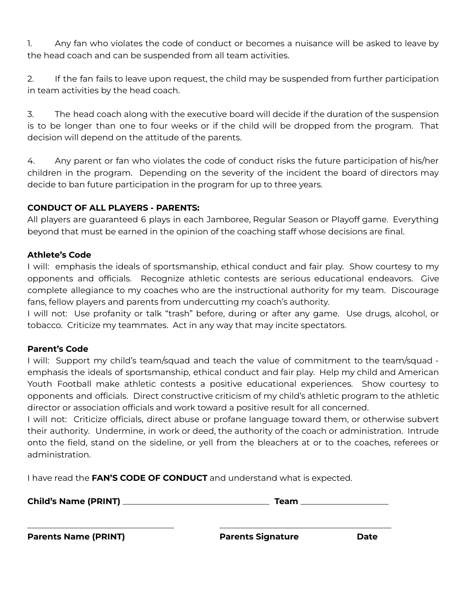1. Any fan who violates the code of conduct or becomes a nuisance will be asked to leave by the head coach and can be suspended from all team activities.

2. If the fan fails to leave upon request, the child may be suspended from further participation in team activities by the head coach.

3. The head coach along with the executive board will decide if the duration of the suspension is to be longer than one to four weeks or if the child will be dropped from the program. That decision will depend on the attitude of the parents.

4. Any parent or fan who violates the code of conduct risks the future participation of his/her children in the program. Depending on the severity of the incident the board of directors may decide to ban future participation in the program for up to three years.

## **CONDUCT OF ALL PLAYERS - PARENTS:**

All players are guaranteed 6 plays in each Jamboree, Regular Season or Playoff game. Everything beyond that must be earned in the opinion of the coaching staff whose decisions are final.

#### **Athlete's Code**

I will: emphasis the ideals of sportsmanship, ethical conduct and fair play. Show courtesy to my opponents and officials. Recognize athletic contests are serious educational endeavors. Give complete allegiance to my coaches who are the instructional authority for my team. Discourage fans, fellow players and parents from undercutting my coach's authority.

I will not: Use profanity or talk "trash" before, during or after any game. Use drugs, alcohol, or tobacco. Criticize my teammates. Act in any way that may incite spectators.

#### **Parent's Code**

I will: Support my child's team/squad and teach the value of commitment to the team/squad emphasis the ideals of sportsmanship, ethical conduct and fair play. Help my child and American Youth Football make athletic contests a positive educational experiences. Show courtesy to opponents and officials. Direct constructive criticism of my child's athletic program to the athletic director or association officials and work toward a positive result for all concerned.

I will not: Criticize officials, direct abuse or profane language toward them, or otherwise subvert their authority. Undermine, in work or deed, the authority of the coach or administration. Intrude onto the field, stand on the sideline, or yell from the bleachers at or to the coaches, referees or administration.

I have read the **FAN'S CODE OF CONDUCT** and understand what is expected.

| <b>Child's Name (PRINT)</b> | <b>eam</b> |
|-----------------------------|------------|
|-----------------------------|------------|

\_\_\_\_\_\_\_\_\_\_\_\_\_\_\_\_\_\_\_\_\_\_\_\_\_\_\_\_\_\_\_\_\_\_\_ \_\_\_\_\_\_\_\_\_\_\_\_\_\_\_\_\_\_\_\_\_\_\_\_\_\_\_\_\_\_\_\_\_\_\_\_\_\_\_\_\_

**Parents Name (PRINT) Parents Signature Date**